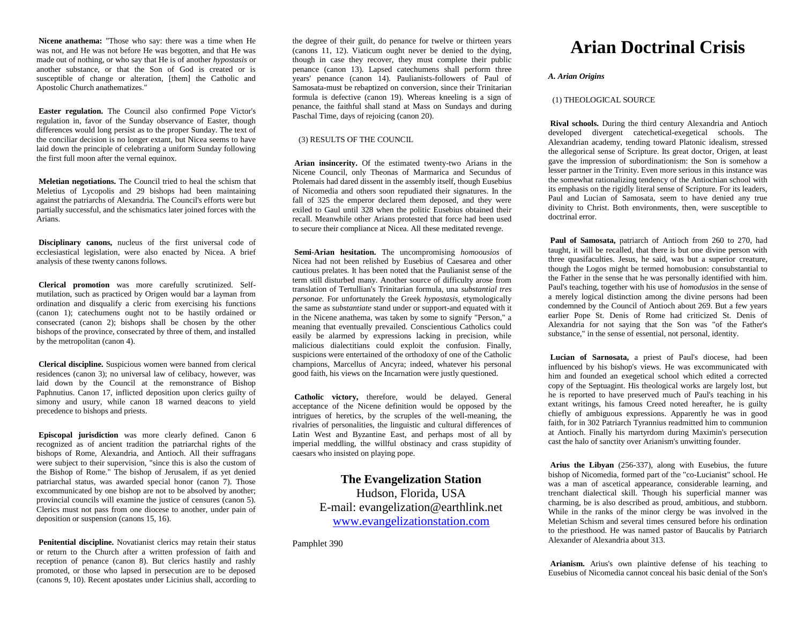**Nicene anathema:** "Those who say: there was a time when He was not, and He was not before He was begotten, and that He was made out of nothing, or who say that He is of another *hypostasis* or another substance, or that the Son of God is created or is susceptible of change or alteration, [them] the Catholic and Apostolic Church anathematizes."

**Easter regulation.** The Council also confirmed Pope Victor's regulation in, favor of the Sunday observance of Easter, though differences would long persist as to the proper Sunday. The text of the conciliar decision is no longer extant, but Nicea seems to have laid down the principle of celebrating a uniform Sunday following the first full moon after the vernal equinox.

**Meletian negotiations.** The Council tried to heal the schism that Meletius of Lycopolis and 29 bishops had been maintaining against the patriarchs of Alexandria. The Council's efforts were but partially successful, and the schismatics later joined forces with the Arians.

**Disciplinary canons,** nucleus of the first universal code of ecclesiastical legislation, were also enacted by Nicea. A brief analysis of these twenty canons follows.

**Clerical promotion** was more carefully scrutinized. Selfmutilation, such as practiced by Origen would bar a layman from ordination and disqualify a cleric from exercising his functions (canon 1); catechumens ought not to be hastily ordained or consecrated (canon 2); bishops shall be chosen by the other bishops of the province, consecrated by three of them, and installed by the metropolitan (canon 4).

**Clerical discipline.** Suspicious women were banned from clerical residences (canon 3); no universal law of celibacy, however, was laid down by the Council at the remonstrance of Bishop Paphnutius. Canon 17, inflicted deposition upon clerics guilty of simony and usury, while canon 18 warned deacons to yield precedence to bishops and priests.

**Episcopal jurisdiction** was more clearly defined. Canon 6 recognized as of ancient tradition the patriarchal rights of the bishops of Rome, Alexandria, and Antioch. All their suffragans were subject to their supervision, "since this is also the custom of the Bishop of Rome." The bishop of Jerusalem, if as yet denied patriarchal status, was awarded special honor (canon 7). Those excommunicated by one bishop are not to be absolved by another; provincial councils will examine the justice of censures (canon 5). Clerics must not pass from one diocese to another, under pain of deposition or suspension (canons 15, 16).

**Penitential discipline.** Novatianist clerics may retain their status or return to the Church after a written profession of faith and reception of penance (canon 8). But clerics hastily and rashly promoted, or those who lapsed in persecution are to be deposed (canons 9, 10). Recent apostates under Licinius shall, according to the degree of their guilt, do penance for twelve or thirteen years (canons 11, 12). Viaticum ought never be denied to the dying, though in case they recover, they must complete their public penance (canon 13). Lapsed catechumens shall perform three years' penance (canon 14). Paulianists-followers of Paul of Samosata-must be rebaptized on conversion, since their Trinitarian formula is defective (canon 19). Whereas kneeling is a sign of penance, the faithful shall stand at Mass on Sundays and during Paschal Time, days of rejoicing (canon 20).

## (3) RESULTS OF THE COUNCIL

**Arian insincerity.** Of the estimated twenty-two Arians in the Nicene Council, only Theonas of Marmarica and Secundus of Ptolemais had dared dissent in the assembly itself, though Eusebius of Nicomedia and others soon repudiated their signatures. In the fall of 325 the emperor declared them deposed, and they were exiled to Gaul until 328 when the politic Eusebius obtained their recall. Meanwhile other Arians protested that force had been used to secure their compliance at Nicea. All these meditated revenge.

**Semi-Arian hesitation.** The uncompromising *homoousios* of Nicea had not been relished by Eusebius of Caesarea and other cautious prelates. It has been noted that the Paulianist sense of the term still disturbed many. Another source of difficulty arose from translation of Tertullian's Trinitarian formula, una *substantial tres personae.* For unfortunately the Greek *hypostasis,* etymologically the same as *substantiate* stand under or support-and equated with it in the Nicene anathema, was taken by some to signify "Person," a meaning that eventually prevailed. Conscientious Catholics could easily be alarmed by expressions lacking in precision, while malicious dialectitians could exploit the confusion. Finally, suspicions were entertained of the orthodoxy of one of the Catholic champions, Marcellus of Ancyra; indeed, whatever his personal good faith, his views on the Incarnation were justly questioned.

**Catholic victory,** therefore, would be delayed. General acceptance of the Nicene definition would be opposed by the intrigues of heretics, by the scruples of the well-meaning, the rivalries of personalities, the linguistic and cultural differences of Latin West and Byzantine East, and perhaps most of all by imperial meddling, the willful obstinacy and crass stupidity of caesars who insisted on playing pope.

> **The Evangelization Station**  Hudson, Florida, USA E-mail: evangelization@earthlink.net [www.evangelizationstation.com](http://www.pjpiisoe.org/)

Pamphlet 390

# **Arian Doctrinal Crisis**

# *A. Arian Origins*

## (1) THEOLOGICAL SOURCE

**Rival schools.** During the third century Alexandria and Antioch developed divergent catechetical-exegetical schools. The Alexandrian academy, tending toward Platonic idealism, stressed the allegorical sense of Scripture. Its great doctor, Origen, at least gave the impression of subordinationism: the Son is somehow a lesser partner in the Trinity. Even more serious in this instance was the somewhat rationalizing tendency of the Antiochian school with its emphasis on the rigidly literal sense of Scripture. For its leaders, Paul and Lucian of Samosata, seem to have denied any true divinity to Christ. Both environments, then, were susceptible to doctrinal error.

**Paul of Samosata,** patriarch of Antioch from 260 to 270, had taught, it will be recalled, that there is but one divine person with three quasifaculties. Jesus, he said, was but a superior creature, though the Logos might be termed homobusion: consubstantial to the Father in the sense that he was personally identified with him. Paul's teaching, together with his use of *homodusios* in the sense of a merely logical distinction among the divine persons had been condemned by the Council of Antioch about 269. But a few years earlier Pope St. Denis of Rome had criticized St. Denis of Alexandria for not saying that the Son was "of the Father's substance," in the sense of essential, not personal, identity.

**Lucian of Sarnosata,** a priest of Paul's diocese, had been influenced by his bishop's views. He was excommunicated with him and founded an exegetical school which edited a corrected copy of the Septuagint. His theological works are largely lost, but he is reported to have preserved much of Paul's teaching in his extant writings, his famous Creed noted hereafter, he is guilty chiefly of ambiguous expressions. Apparently he was in good faith, for in 302 Patriarch Tyrannius readmitted him to communion at Antioch. Finally his martyrdom during Maximin's persecution cast the halo of sanctity over Arianism's unwitting founder.

**Arius the Libyan** (256-337), along with Eusebius, the future bishop of Nicomedia, formed part of the "co-Lucianist" school. He was a man of ascetical appearance, considerable learning, and trenchant dialectical skill. Though his superficial manner was charming, be is also described as proud, ambitious, and stubborn. While in the ranks of the minor clergy be was involved in the Meletian Schism and several times censured before his ordination to the priesthood. He was named pastor of Baucalis by Patriarch Alexander of Alexandria about 313.

**Arianism.** Arius's own plaintive defense of his teaching to Eusebius of Nicomedia cannot conceal his basic denial of the Son's